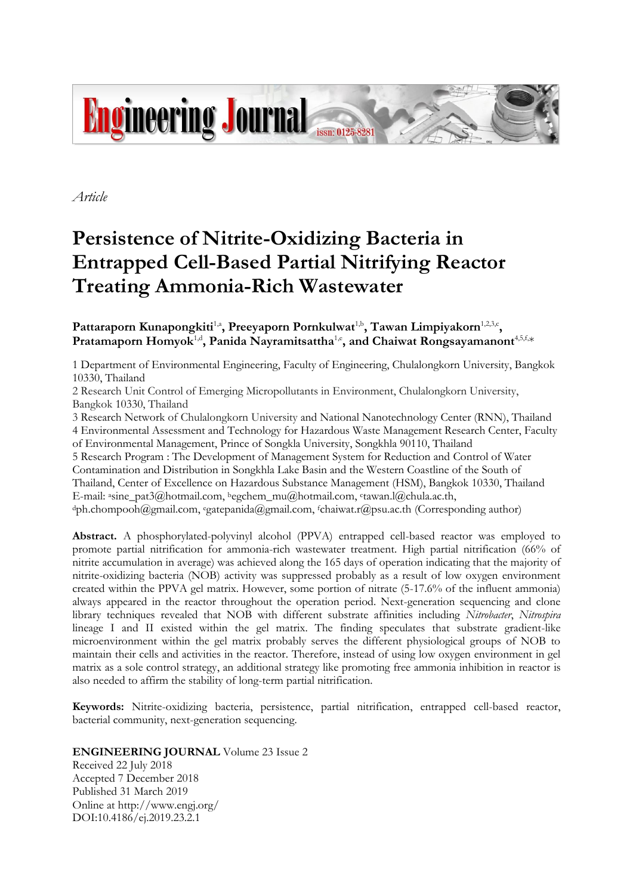

*Article*

# **Persistence of Nitrite-Oxidizing Bacteria in Entrapped Cell-Based Partial Nitrifying Reactor Treating Ammonia-Rich Wastewater**

Pattaraporn Kunapongkiti<sup>1,a</sup>, Preeyaporn Pornkulwat<sup>1,b</sup>, Tawan Limpiyakorn<sup>1,2,3,c</sup>, Pratamaporn Homyok<sup>1,d</sup>, Panida Nayramitsattha<sup>1,e</sup>, and Chaiwat Rongsayamanont<sup>4,5,f,</sup>\*

1 Department of Environmental Engineering, Faculty of Engineering, Chulalongkorn University, Bangkok 10330, Thailand

2 Research Unit Control of Emerging Micropollutants in Environment, Chulalongkorn University, Bangkok 10330, Thailand

3 Research Network of Chulalongkorn University and National Nanotechnology Center (RNN), Thailand 4 Environmental Assessment and Technology for Hazardous Waste Management Research Center, Faculty of Environmental Management, Prince of Songkla University, Songkhla 90110, Thailand

5 Research Program : The Development of Management System for Reduction and Control of Water Contamination and Distribution in Songkhla Lake Basin and the Western Coastline of the South of Thailand, Center of Excellence on Hazardous Substance Management (HSM), Bangkok 10330, Thailand E-mail: <sup>a</sup>sine\_pat3@hotmail.com, <sup>b</sup>egchem\_mu@hotmail.com, c tawan.l@chula.ac.th,

<sup>d</sup>ph.chompooh@gmail.com, <sup>e</sup>gatepanida@gmail.com, <sup>f</sup>chaiwat.r@psu.ac.th (Corresponding author)

**Abstract.** A phosphorylated-polyvinyl alcohol (PPVA) entrapped cell-based reactor was employed to promote partial nitrification for ammonia-rich wastewater treatment. High partial nitrification (66% of nitrite accumulation in average) was achieved along the 165 days of operation indicating that the majority of nitrite-oxidizing bacteria (NOB) activity was suppressed probably as a result of low oxygen environment created within the PPVA gel matrix. However, some portion of nitrate (5-17.6% of the influent ammonia) always appeared in the reactor throughout the operation period. Next-generation sequencing and clone library techniques revealed that NOB with different substrate affinities including *Nitrobacter*, *Nitrospira* lineage I and II existed within the gel matrix. The finding speculates that substrate gradient-like microenvironment within the gel matrix probably serves the different physiological groups of NOB to maintain their cells and activities in the reactor. Therefore, instead of using low oxygen environment in gel matrix as a sole control strategy, an additional strategy like promoting free ammonia inhibition in reactor is also needed to affirm the stability of long-term partial nitrification.

**Keywords:** Nitrite-oxidizing bacteria, persistence, partial nitrification, entrapped cell-based reactor, bacterial community, next-generation sequencing.

# **ENGINEERING JOURNAL** Volume 23 Issue 2

Received 22 July 2018 Accepted 7 December 2018 Published 31 March 2019 Online at http://www.engj.org/ DOI:10.4186/ej.2019.23.2.1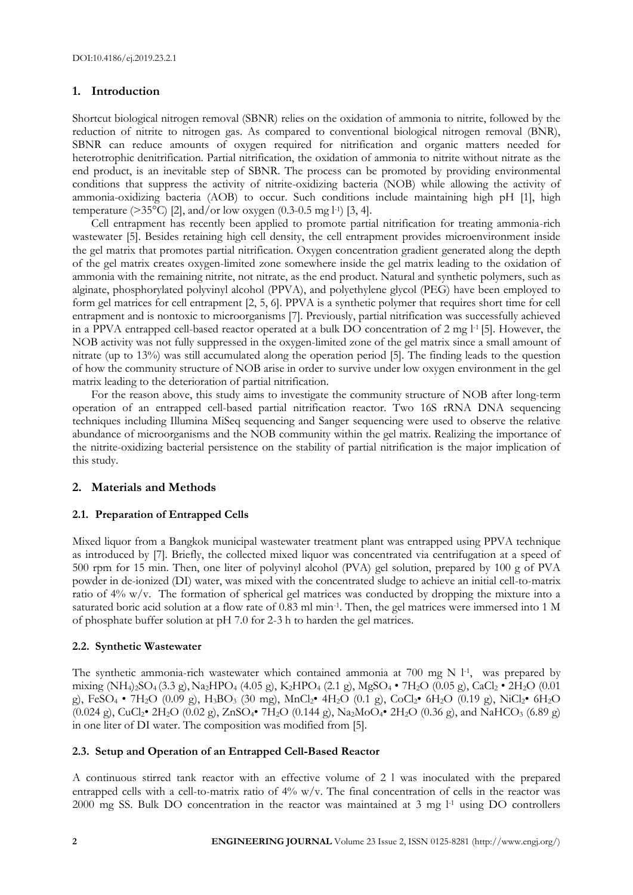## **1. Introduction**

Shortcut biological nitrogen removal (SBNR) relies on the oxidation of ammonia to nitrite, followed by the reduction of nitrite to nitrogen gas. As compared to conventional biological nitrogen removal (BNR), SBNR can reduce amounts of oxygen required for nitrification and organic matters needed for heterotrophic denitrification. Partial nitrification, the oxidation of ammonia to nitrite without nitrate as the end product, is an inevitable step of SBNR. The process can be promoted by providing environmental conditions that suppress the activity of nitrite-oxidizing bacteria (NOB) while allowing the activity of ammonia-oxidizing bacteria (AOB) to occur. Such conditions include maintaining high pH [1], high temperature (>35°C) [2], and/or low oxygen (0.3-0.5 mg l-1 ) [3, 4].

Cell entrapment has recently been applied to promote partial nitrification for treating ammonia-rich wastewater [5]. Besides retaining high cell density, the cell entrapment provides microenvironment inside the gel matrix that promotes partial nitrification. Oxygen concentration gradient generated along the depth of the gel matrix creates oxygen-limited zone somewhere inside the gel matrix leading to the oxidation of ammonia with the remaining nitrite, not nitrate, as the end product. Natural and synthetic polymers, such as alginate, phosphorylated polyvinyl alcohol (PPVA), and polyethylene glycol (PEG) have been employed to form gel matrices for cell entrapment [2, 5, 6]. PPVA is a synthetic polymer that requires short time for cell entrapment and is nontoxic to microorganisms [7]. Previously, partial nitrification was successfully achieved in a PPVA entrapped cell-based reactor operated at a bulk DO concentration of 2 mg l-1 [5]. However, the NOB activity was not fully suppressed in the oxygen-limited zone of the gel matrix since a small amount of nitrate (up to 13%) was still accumulated along the operation period [5]. The finding leads to the question of how the community structure of NOB arise in order to survive under low oxygen environment in the gel matrix leading to the deterioration of partial nitrification.

For the reason above, this study aims to investigate the community structure of NOB after long-term operation of an entrapped cell-based partial nitrification reactor. Two 16S rRNA DNA sequencing techniques including Illumina MiSeq sequencing and Sanger sequencing were used to observe the relative abundance of microorganisms and the NOB community within the gel matrix. Realizing the importance of the nitrite-oxidizing bacterial persistence on the stability of partial nitrification is the major implication of this study.

## **2. Materials and Methods**

## **2.1. Preparation of Entrapped Cells**

Mixed liquor from a Bangkok municipal wastewater treatment plant was entrapped using PPVA technique as introduced by [7]. Briefly, the collected mixed liquor was concentrated via centrifugation at a speed of 500 rpm for 15 min. Then, one liter of polyvinyl alcohol (PVA) gel solution, prepared by 100 g of PVA powder in de-ionized (DI) water, was mixed with the concentrated sludge to achieve an initial cell-to-matrix ratio of 4% w/v. The formation of spherical gel matrices was conducted by dropping the mixture into a saturated boric acid solution at a flow rate of 0.83 ml min<sup>-1</sup>. Then, the gel matrices were immersed into 1 M of phosphate buffer solution at pH 7.0 for 2-3 h to harden the gel matrices.

## **2.2. Synthetic Wastewater**

The synthetic ammonia-rich wastewater which contained ammonia at  $700$  mg N  $1$ <sup>-1</sup>, was prepared by mixing (NH4)2SO4 (3.3 g), Na2HPO<sup>4</sup> (4.05 g), K2HPO<sup>4</sup> (2.1 g), MgSO<sup>4</sup> • 7H2O (0.05 g), CaCl<sup>2</sup> • 2H2O (0.01 g), FeSO<sup>4</sup> • 7H2O (0.09 g), H3BO<sup>3</sup> (30 mg), MnCl2• 4H2O (0.1 g), CoCl2• 6H2O (0.19 g), NiCl2• 6H2O  $(0.024 \text{ g})$ , CuCl<sub>2</sub>• 2H<sub>2</sub>O  $(0.02 \text{ g})$ , ZnSO<sub>4</sub>• 7H<sub>2</sub>O  $(0.144 \text{ g})$ , Na<sub>2</sub>MoO<sub>4</sub>• 2H<sub>2</sub>O  $(0.36 \text{ g})$ , and NaHCO<sub>3</sub>  $(6.89 \text{ g})$ in one liter of DI water. The composition was modified from [5].

## **2.3. Setup and Operation of an Entrapped Cell-Based Reactor**

A continuous stirred tank reactor with an effective volume of 2 l was inoculated with the prepared entrapped cells with a cell-to-matrix ratio of 4% w/v. The final concentration of cells in the reactor was 2000 mg SS. Bulk DO concentration in the reactor was maintained at 3 mg  $1<sup>1</sup>$  using DO controllers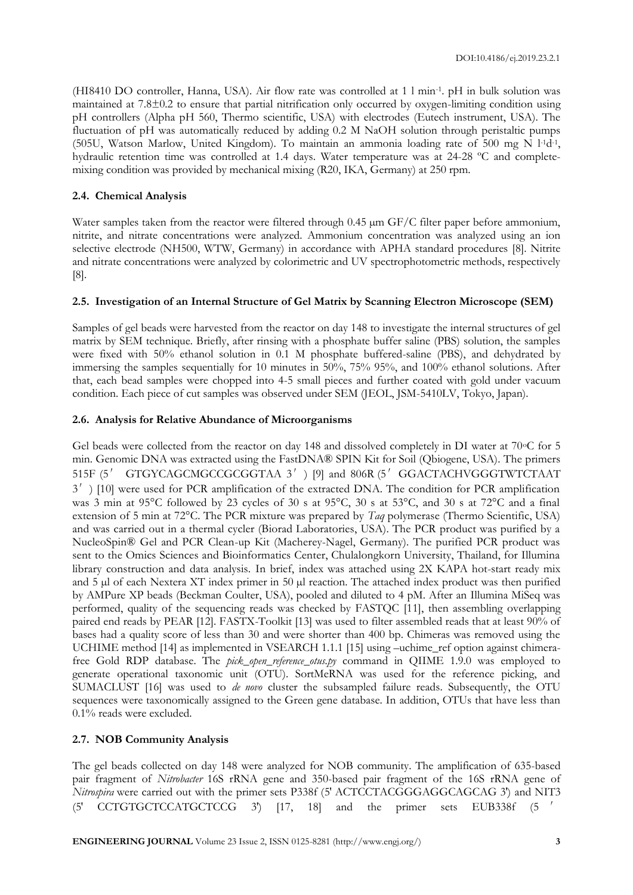(HI8410 DO controller, Hanna, USA). Air flow rate was controlled at 1 l min-1 . pH in bulk solution was maintained at 7.8±0.2 to ensure that partial nitrification only occurred by oxygen-limiting condition using pH controllers (Alpha pH 560, Thermo scientific, USA) with electrodes (Eutech instrument, USA). The fluctuation of pH was automatically reduced by adding 0.2 M NaOH solution through peristaltic pumps (505U, Watson Marlow, United Kingdom). To maintain an ammonia loading rate of 500 mg N l-1d-1 , hydraulic retention time was controlled at 1.4 days. Water temperature was at 24-28 ºC and completemixing condition was provided by mechanical mixing (R20, IKA, Germany) at 250 rpm.

#### **2.4. Chemical Analysis**

Water samples taken from the reactor were filtered through 0.45  $\mu$ m GF/C filter paper before ammonium, nitrite, and nitrate concentrations were analyzed. Ammonium concentration was analyzed using an ion selective electrode (NH500, WTW, Germany) in accordance with APHA standard procedures [8]. Nitrite and nitrate concentrations were analyzed by colorimetric and UV spectrophotometric methods, respectively [8].

#### **2.5. Investigation of an Internal Structure of Gel Matrix by Scanning Electron Microscope (SEM)**

Samples of gel beads were harvested from the reactor on day 148 to investigate the internal structures of gel matrix by SEM technique. Briefly, after rinsing with a phosphate buffer saline (PBS) solution, the samples were fixed with 50% ethanol solution in 0.1 M phosphate buffered-saline (PBS), and dehydrated by immersing the samples sequentially for 10 minutes in 50%, 75% 95%, and 100% ethanol solutions. After that, each bead samples were chopped into 4-5 small pieces and further coated with gold under vacuum condition. Each piece of cut samples was observed under SEM (JEOL, JSM-5410LV, Tokyo, Japan).

#### **2.6. Analysis for Relative Abundance of Microorganisms**

Gel beads were collected from the reactor on day 148 and dissolved completely in DI water at 70°C for 5 min. Genomic DNA was extracted using the FastDNA® SPIN Kit for Soil (Qbiogene, USA). The primers 515F (5′ GTGYCAGCMGCCGCGGTAA 3′) [9] and 806R (5′GGACTACHVGGGTWTCTAAT 3<sup>'</sup>) [10] were used for PCR amplification of the extracted DNA. The condition for PCR amplification was 3 min at 95°C followed by 23 cycles of 30 s at 95°C, 30 s at 53°C, and 30 s at 72°C and a final extension of 5 min at 72°C. The PCR mixture was prepared by *Taq* polymerase (Thermo Scientific, USA) and was carried out in a thermal cycler (Biorad Laboratories, USA). The PCR product was purified by a NucleoSpin® Gel and PCR Clean-up Kit (Macherey-Nagel, Germany). The purified PCR product was sent to the Omics Sciences and Bioinformatics Center, Chulalongkorn University, Thailand, for Illumina library construction and data analysis. In brief, index was attached using 2X KAPA hot-start ready mix and 5 µl of each Nextera XT index primer in 50 µl reaction. The attached index product was then purified by AMPure XP beads (Beckman Coulter, USA), pooled and diluted to 4 pM. After an Illumina MiSeq was performed, quality of the sequencing reads was checked by FASTQC [11], then assembling overlapping paired end reads by PEAR [12]. FASTX-Toolkit [13] was used to filter assembled reads that at least 90% of bases had a quality score of less than 30 and were shorter than 400 bp. Chimeras was removed using the UCHIME method [14] as implemented in VSEARCH 1.1.1 [15] using –uchime\_ref option against chimerafree Gold RDP database. The *pick\_open\_reference\_otus.py* command in QIIME 1.9.0 was employed to generate operational taxonomic unit (OTU). SortMeRNA was used for the reference picking, and SUMACLUST [16] was used to *de novo* cluster the subsampled failure reads. Subsequently, the OTU sequences were taxonomically assigned to the Green gene database. In addition, OTUs that have less than 0.1% reads were excluded.

#### **2.7. NOB Community Analysis**

The gel beads collected on day 148 were analyzed for NOB community. The amplification of 635-based pair fragment of *Nitrobacter* 16S rRNA gene and 350-based pair fragment of the 16S rRNA gene of *Nitrospira* were carried out with the primer sets P338f (5' ACTCCTACGGGAGGCAGCAG 3') and NIT3 (5′ CCTGTGCTCCATGCTCCG 3′) [17, 18] and the primer sets EUB338f (5 ′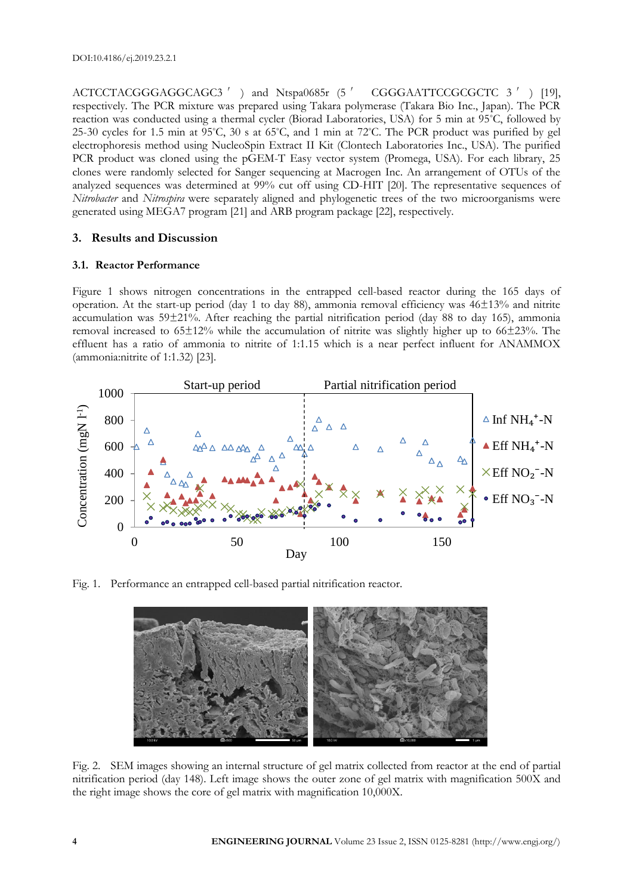ACTCCTACGGGAGGCAGC3<sup>'</sup>) and Ntspa0685r (5<sup>'</sup> CGGGAATTCCGCGCTC 3<sup>'</sup>) [19], respectively. The PCR mixture was prepared using Takara polymerase (Takara Bio Inc., Japan). The PCR reaction was conducted using a thermal cycler (Biorad Laboratories, USA) for 5 min at 95°C, followed by 25-30 cycles for 1.5 min at 95°C, 30 s at 65°C, and 1 min at 72°C. The PCR product was purified by gel electrophoresis method using NucleoSpin Extract II Kit (Clontech Laboratories Inc., USA). The purified PCR product was cloned using the pGEM-T Easy vector system (Promega, USA). For each library, 25 clones were randomly selected for Sanger sequencing at Macrogen Inc. An arrangement of OTUs of the analyzed sequences was determined at 99% cut off using CD-HIT [20]. The representative sequences of *Nitrobacter* and *Nitrospira* were separately aligned and phylogenetic trees of the two microorganisms were generated using MEGA7 program [21] and ARB program package [22], respectively.

## **3. Results and Discussion**

## **3.1. Reactor Performance**

Figure 1 shows nitrogen concentrations in the entrapped cell-based reactor during the 165 days of operation. At the start-up period (day 1 to day 88), ammonia removal efficiency was 46±13% and nitrite accumulation was 59±21%. After reaching the partial nitrification period (day 88 to day 165), ammonia removal increased to 65±12% while the accumulation of nitrite was slightly higher up to 66±23%. The effluent has a ratio of ammonia to nitrite of 1:1.15 which is a near perfect influent for ANAMMOX (ammonia:nitrite of 1:1.32) [23].



Fig. 1. Performance an entrapped cell-based partial nitrification reactor.



Fig. 2. SEM images showing an internal structure of gel matrix collected from reactor at the end of partial nitrification period (day 148). Left image shows the outer zone of gel matrix with magnification 500X and the right image shows the core of gel matrix with magnification 10,000X.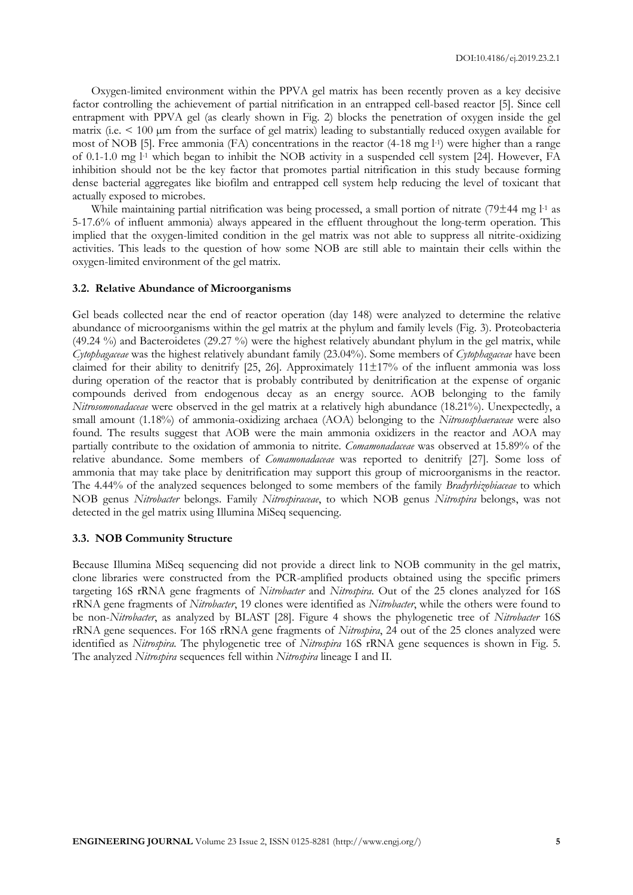Oxygen-limited environment within the PPVA gel matrix has been recently proven as a key decisive factor controlling the achievement of partial nitrification in an entrapped cell-based reactor [5]. Since cell entrapment with PPVA gel (as clearly shown in Fig. 2) blocks the penetration of oxygen inside the gel matrix (i.e. < 100 µm from the surface of gel matrix) leading to substantially reduced oxygen available for most of NOB [5]. Free ammonia (FA) concentrations in the reactor (4-18 mg l-1 ) were higher than a range of 0.1-1.0 mg <sup>1-1</sup> which began to inhibit the NOB activity in a suspended cell system [24]. However, FA inhibition should not be the key factor that promotes partial nitrification in this study because forming dense bacterial aggregates like biofilm and entrapped cell system help reducing the level of toxicant that actually exposed to microbes.

While maintaining partial nitrification was being processed, a small portion of nitrate (79±44 mg l-1 as 5-17.6% of influent ammonia) always appeared in the effluent throughout the long-term operation. This implied that the oxygen-limited condition in the gel matrix was not able to suppress all nitrite-oxidizing activities. This leads to the question of how some NOB are still able to maintain their cells within the oxygen-limited environment of the gel matrix.

#### **3.2. Relative Abundance of Microorganisms**

Gel beads collected near the end of reactor operation (day 148) were analyzed to determine the relative abundance of microorganisms within the gel matrix at the phylum and family levels (Fig. 3). Proteobacteria (49.24 %) and Bacteroidetes (29.27 %) were the highest relatively abundant phylum in the gel matrix, while *Cytophagaceae* was the highest relatively abundant family (23.04%). Some members of *Cytophagaceae* have been claimed for their ability to denitrify [25, 26]. Approximately  $11\pm17\%$  of the influent ammonia was loss during operation of the reactor that is probably contributed by denitrification at the expense of organic compounds derived from endogenous decay as an energy source. AOB belonging to the family *Nitrosomonadaceae* were observed in the gel matrix at a relatively high abundance (18.21%). Unexpectedly, a small amount (1.18%) of ammonia-oxidizing archaea (AOA) belonging to the *Nitrososphaeraceae* were also found. The results suggest that AOB were the main ammonia oxidizers in the reactor and AOA may partially contribute to the oxidation of ammonia to nitrite. *Comamonadaceae* was observed at 15.89% of the relative abundance. Some members of *Comamonadaceae* was reported to denitrify [27]. Some loss of ammonia that may take place by denitrification may support this group of microorganisms in the reactor. The 4.44% of the analyzed sequences belonged to some members of the family *Bradyrhizobiaceae* to which NOB genus *Nitrobacter* belongs. Family *Nitrospiraceae*, to which NOB genus *Nitrospira* belongs, was not detected in the gel matrix using Illumina MiSeq sequencing.

#### **3.3. NOB Community Structure**

Because Illumina MiSeq sequencing did not provide a direct link to NOB community in the gel matrix, clone libraries were constructed from the PCR-amplified products obtained using the specific primers targeting 16S rRNA gene fragments of *Nitrobacter* and *Nitrospira*. Out of the 25 clones analyzed for 16S rRNA gene fragments of *Nitrobacter*, 19 clones were identified as *Nitrobacter*, while the others were found to be non-*Nitrobacter*, as analyzed by BLAST [28]. Figure 4 shows the phylogenetic tree of *Nitrobacter* 16S rRNA gene sequences. For 16S rRNA gene fragments of *Nitrospira*, 24 out of the 25 clones analyzed were identified as *Nitrospira.* The phylogenetic tree of *Nitrospira* 16S rRNA gene sequences is shown in Fig. 5. The analyzed *Nitrospira* sequences fell within *Nitrospira* lineage I and II*.*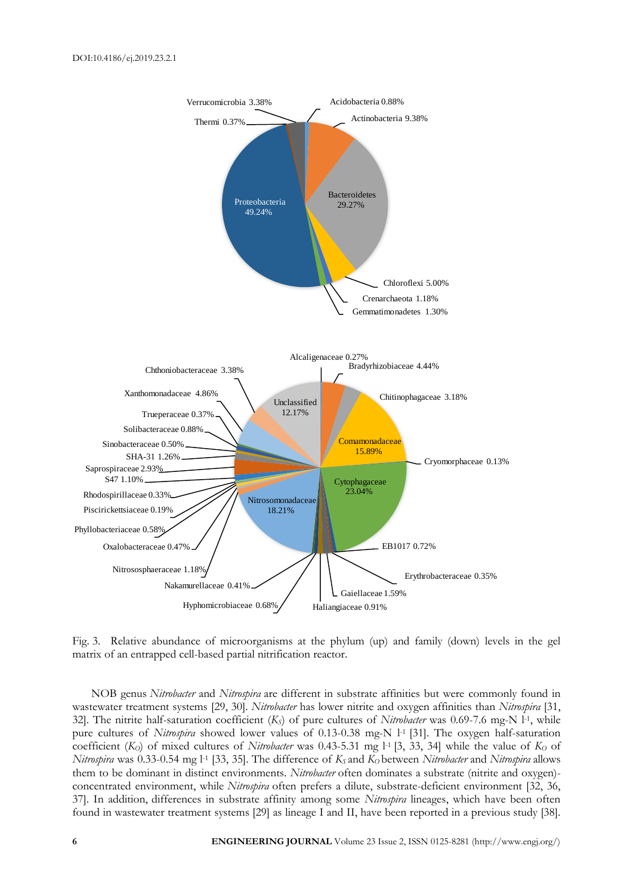

Fig. 3. Relative abundance of microorganisms at the phylum (up) and family (down) levels in the gel matrix of an entrapped cell-based partial nitrification reactor.

NOB genus *Nitrobacter* and *Nitrospira* are different in substrate affinities but were commonly found in wastewater treatment systems [29, 30]. *Nitrobacter* has lower nitrite and oxygen affinities than *Nitrospira* [31, 32]. The nitrite half-saturation coefficient (*KS*) of pure cultures of *Nitrobacter* was 0.69-7.6 mg-N l-1 , while pure cultures of *Nitrospira* showed lower values of 0.13-0.38 mg-N l<sup>-1</sup> [31]. The oxygen half-saturation coefficient  $(K<sub>O</sub>)$  of mixed cultures of *Nitrobacter* was 0.43-5.31 mg  $1<sup>1</sup>$  [3, 33, 34] while the value of  $K<sub>O</sub>$  of *Nitrospira* was 0.33-0.54 mg l-1 [33, 35]. The difference of *KS* and *KO* between *Nitrobacter* and *Nitrospira* allows them to be dominant in distinct environments. *Nitrobacter* often dominates a substrate (nitrite and oxygen) concentrated environment, while *Nitrospira* often prefers a dilute, substrate-deficient environment [32, 36, 37]. In addition, differences in substrate affinity among some *Nitrospira* lineages, which have been often found in wastewater treatment systems [29] as lineage I and II, have been reported in a previous study [38].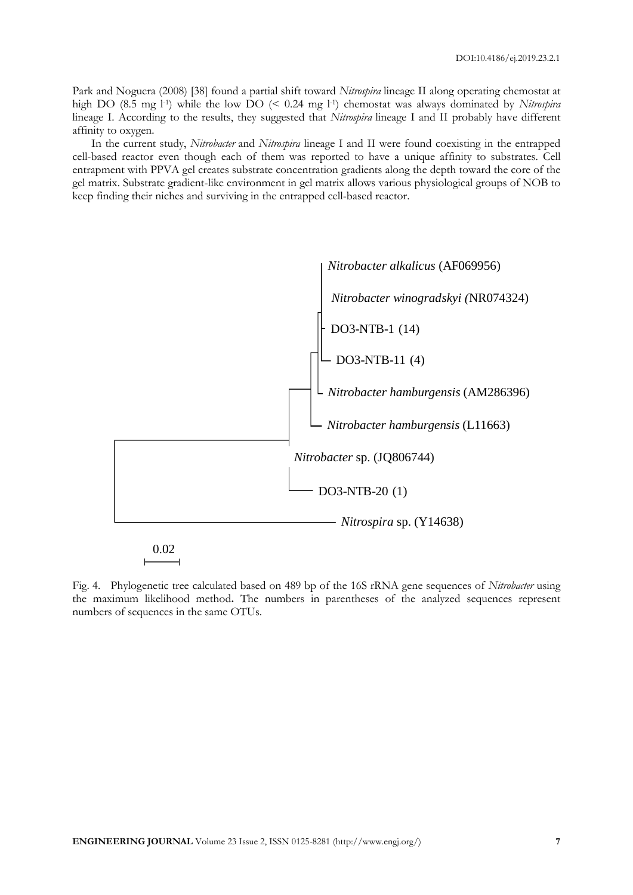Park and Noguera (2008) [38] found a partial shift toward *Nitrospira* lineage II along operating chemostat at high DO (8.5 mg l<sup>-1</sup>) while the low DO (< 0.24 mg l<sup>-1</sup>) chemostat was always dominated by *Nitrospira* lineage I. According to the results, they suggested that *Nitrospira* lineage I and II probably have different affinity to oxygen.

In the current study, *Nitrobacter* and *Nitrospira* lineage I and II were found coexisting in the entrapped cell-based reactor even though each of them was reported to have a unique affinity to substrates. Cell entrapment with PPVA gel creates substrate concentration gradients along the depth toward the core of the gel matrix. Substrate gradient-like environment in gel matrix allows various physiological groups of NOB to keep finding their niches and surviving in the entrapped cell-based reactor.



Fig. 4. Phylogenetic tree calculated based on 489 bp of the 16S rRNA gene sequences of *Nitrobacter* using the maximum likelihood method**.** The numbers in parentheses of the analyzed sequences represent numbers of sequences in the same OTUs.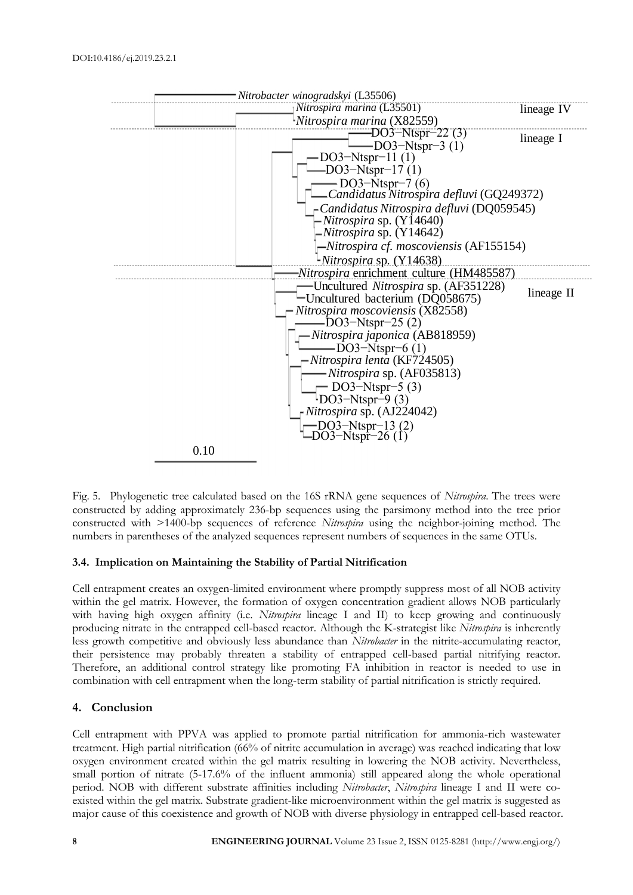

Fig. 5. Phylogenetic tree calculated based on the 16S rRNA gene sequences of *Nitrospira*. The trees were constructed by adding approximately 236-bp sequences using the parsimony method into the tree prior constructed with >1400-bp sequences of reference *Nitrospira* using the neighbor-joining method. The numbers in parentheses of the analyzed sequences represent numbers of sequences in the same OTUs.

#### **3.4. Implication on Maintaining the Stability of Partial Nitrification**

Cell entrapment creates an oxygen-limited environment where promptly suppress most of all NOB activity within the gel matrix. However, the formation of oxygen concentration gradient allows NOB particularly with having high oxygen affinity (i.e. *Nitrospira* lineage I and II) to keep growing and continuously producing nitrate in the entrapped cell-based reactor. Although the K-strategist like *Nitrospira* is inherently less growth competitive and obviously less abundance than *Nitrobacter* in the nitrite-accumulating reactor, their persistence may probably threaten a stability of entrapped cell-based partial nitrifying reactor. Therefore, an additional control strategy like promoting FA inhibition in reactor is needed to use in combination with cell entrapment when the long-term stability of partial nitrification is strictly required.

## **4. Conclusion**

Cell entrapment with PPVA was applied to promote partial nitrification for ammonia-rich wastewater treatment. High partial nitrification (66% of nitrite accumulation in average) was reached indicating that low oxygen environment created within the gel matrix resulting in lowering the NOB activity. Nevertheless, small portion of nitrate (5-17.6% of the influent ammonia) still appeared along the whole operational period. NOB with different substrate affinities including *Nitrobacter*, *Nitrospira* lineage I and II were coexisted within the gel matrix. Substrate gradient-like microenvironment within the gel matrix is suggested as major cause of this coexistence and growth of NOB with diverse physiology in entrapped cell-based reactor.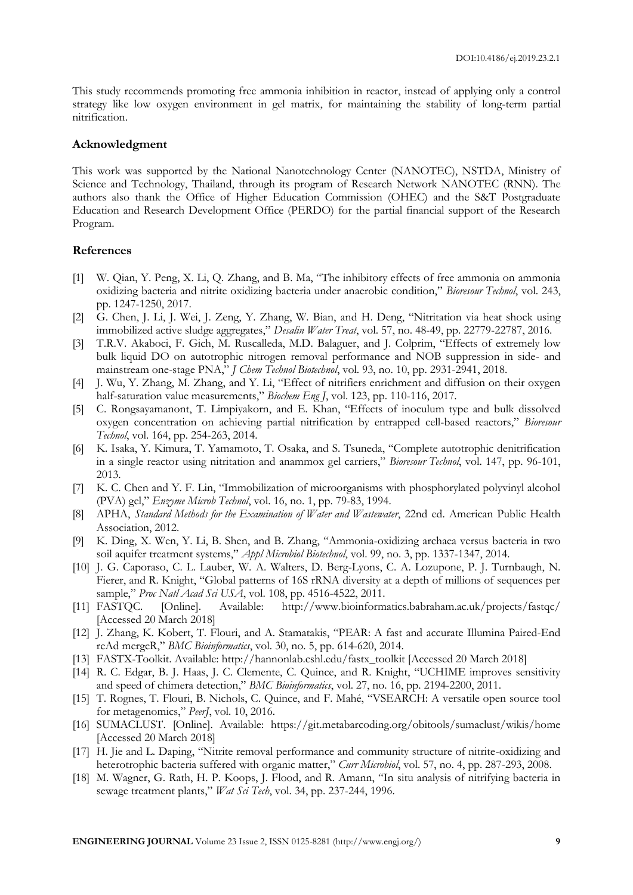This study recommends promoting free ammonia inhibition in reactor, instead of applying only a control strategy like low oxygen environment in gel matrix, for maintaining the stability of long-term partial nitrification.

#### **Acknowledgment**

This work was supported by the National Nanotechnology Center (NANOTEC), NSTDA, Ministry of Science and Technology, Thailand, through its program of Research Network NANOTEC (RNN). The authors also thank the Office of Higher Education Commission (OHEC) and the S&T Postgraduate Education and Research Development Office (PERDO) for the partial financial support of the Research Program.

#### **References**

- [1] W. Qian, Y. Peng, X. Li, Q. Zhang, and B. Ma, "The inhibitory effects of free ammonia on ammonia oxidizing bacteria and nitrite oxidizing bacteria under anaerobic condition," *Bioresour Technol*, vol. 243, pp. 1247-1250, 2017.
- [2] G. Chen, J. Li, J. Wei, J. Zeng, Y. Zhang, W. Bian, and H. Deng, "Nitritation via heat shock using immobilized active sludge aggregates," *Desalin Water Treat*, vol. 57, no. 48-49, pp. 22779-22787, 2016.
- [3] T.R.V. Akaboci, F. Gich, M. Ruscalleda, M.D. Balaguer, and J. Colprim, "Effects of extremely low bulk liquid DO on autotrophic nitrogen removal performance and NOB suppression in side- and mainstream one-stage PNA," *J Chem Technol Biotechnol*, vol. 93, no. 10, pp. 2931-2941, 2018.
- [4] J. Wu, Y. Zhang, M. Zhang, and Y. Li, "Effect of nitrifiers enrichment and diffusion on their oxygen half-saturation value measurements," *Biochem Eng J*, vol. 123, pp. 110-116, 2017.
- [5] C. Rongsayamanont, T. Limpiyakorn, and E. Khan, "Effects of inoculum type and bulk dissolved oxygen concentration on achieving partial nitrification by entrapped cell-based reactors," *Bioresour Technol*, vol. 164, pp. 254-263, 2014.
- [6] K. Isaka, Y. Kimura, T. Yamamoto, T. Osaka, and S. Tsuneda, "Complete autotrophic denitrification in a single reactor using nitritation and anammox gel carriers," *Bioresour Technol*, vol. 147, pp. 96-101, 2013.
- [7] K. C. Chen and Y. F. Lin, "Immobilization of microorganisms with phosphorylated polyvinyl alcohol (PVA) gel," *Enzyme Microb Technol*, vol. 16, no. 1, pp. 79-83, 1994.
- [8] APHA, *Standard Methods for the Examination of Water and Wastewater*, 22nd ed. American Public Health Association, 2012.
- [9] K. Ding, X. Wen, Y. Li, B. Shen, and B. Zhang, "Ammonia-oxidizing archaea versus bacteria in two soil aquifer treatment systems," *Appl Microbiol Biotechnol*, vol. 99, no. 3, pp. 1337-1347, 2014.
- [10] J. G. Caporaso, C. L. Lauber, W. A. Walters, D. Berg-Lyons, C. A. Lozupone, P. J. Turnbaugh, N. Fierer, and R. Knight, "Global patterns of 16S rRNA diversity at a depth of millions of sequences per sample," *Proc Natl Acad Sci USA*, vol. 108, pp. 4516-4522, 2011.
- [11] FASTQC. [Online]. Available: http://www.bioinformatics.babraham.ac.uk/projects/fastqc/ [Accessed 20 March 2018]
- [12] J. Zhang, K. Kobert, T. Flouri, and A. Stamatakis, "PEAR: A fast and accurate Illumina Paired-End reAd mergeR," *BMC Bioinformatics*, vol. 30, no. 5, pp. 614-620, 2014.
- [13] FASTX-Toolkit. Available: http://hannonlab.cshl.edu/fastx\_toolkit [Accessed 20 March 2018]
- [14] R. C. Edgar, B. J. Haas, J. C. Clemente, C. Quince, and R. Knight, "UCHIME improves sensitivity and speed of chimera detection," *BMC Bioinformatics*, vol. 27, no. 16, pp. 2194-2200, 2011.
- [15] T. Rognes, T. Flouri, B. Nichols, C. Quince, and F. Mahé, "VSEARCH: A versatile open source tool for metagenomics," *PeerJ*, vol. 10, 2016.
- [16] SUMACLUST. [Online]. Available: https://git.metabarcoding.org/obitools/sumaclust/wikis/home [Accessed 20 March 2018]
- [17] H. Jie and L. Daping, "Nitrite removal performance and community structure of nitrite-oxidizing and heterotrophic bacteria suffered with organic matter," *Curr Microbiol*, vol. 57, no. 4, pp. 287-293, 2008.
- [18] M. Wagner, G. Rath, H. P. Koops, J. Flood, and R. Amann, "In situ analysis of nitrifying bacteria in sewage treatment plants," *Wat Sci Tech*, vol. 34, pp. 237-244, 1996.